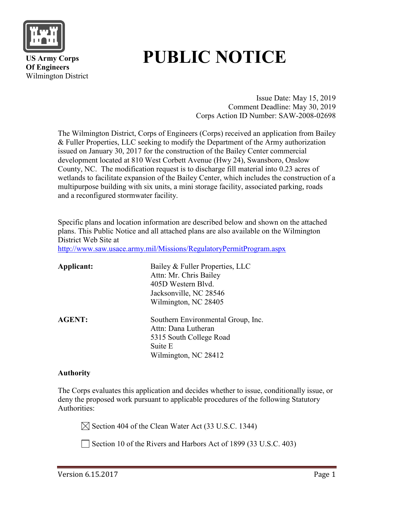

 **US Army Corps Of Engineers** Wilmington District

# **PUBLIC NOTICE**

Issue Date: May 15, 2019 Comment Deadline: May 30, 2019 Corps Action ID Number: SAW-2008-02698

The Wilmington District, Corps of Engineers (Corps) received an application from Bailey & Fuller Properties, LLC seeking to modify the Department of the Army authorization issued on January 30, 2017 for the construction of the Bailey Center commercial development located at 810 West Corbett Avenue (Hwy 24), Swansboro, Onslow County, NC. The modification request is to discharge fill material into 0.23 acres of wetlands to facilitate expansion of the Bailey Center, which includes the construction of a multipurpose building with six units, a mini storage facility, associated parking, roads and a reconfigured stormwater facility.

Specific plans and location information are described below and shown on the attached plans. This Public Notice and all attached plans are also available on the Wilmington District Web Site at

<http://www.saw.usace.army.mil/Missions/RegulatoryPermitProgram.aspx>

| Applicant:    | Bailey & Fuller Properties, LLC<br>Attn: Mr. Chris Bailey<br>405D Western Blvd.<br>Jacksonville, NC 28546<br>Wilmington, NC 28405 |
|---------------|-----------------------------------------------------------------------------------------------------------------------------------|
| <b>AGENT:</b> | Southern Environmental Group, Inc.<br>Attn: Dana Lutheran<br>5315 South College Road<br>Suite E<br>Wilmington, NC 28412           |

#### **Authority**

The Corps evaluates this application and decides whether to issue, conditionally issue, or deny the proposed work pursuant to applicable procedures of the following Statutory Authorities:

 $\boxtimes$  Section 404 of the Clean Water Act (33 U.S.C. 1344)

Section 10 of the Rivers and Harbors Act of 1899 (33 U.S.C. 403)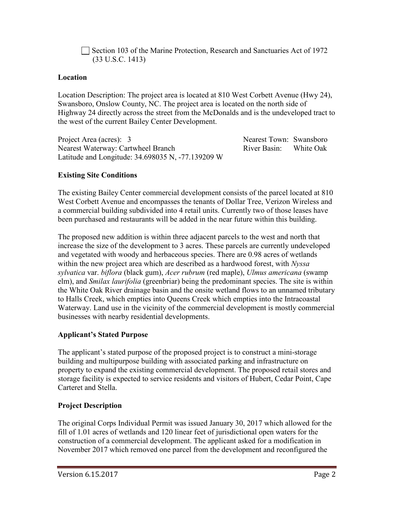Section 103 of the Marine Protection, Research and Sanctuaries Act of 1972 (33 U.S.C. 1413)

#### **Location**

Location Description: The project area is located at 810 West Corbett Avenue (Hwy 24), Swansboro, Onslow County, NC. The project area is located on the north side of Highway 24 directly across the street from the McDonalds and is the undeveloped tract to the west of the current Bailey Center Development.

Project Area (acres): 3 Nearest Town: Swansboro Nearest Waterway: Cartwheel Branch River Basin: White Oak Latitude and Longitude: 34.698035 N, -77.139209 W

## **Existing Site Conditions**

The existing Bailey Center commercial development consists of the parcel located at 810 West Corbett Avenue and encompasses the tenants of Dollar Tree, Verizon Wireless and a commercial building subdivided into 4 retail units. Currently two of those leases have been purchased and restaurants will be added in the near future within this building.

The proposed new addition is within three adjacent parcels to the west and north that increase the size of the development to 3 acres. These parcels are currently undeveloped and vegetated with woody and herbaceous species. There are 0.98 acres of wetlands within the new project area which are described as a hardwood forest, with *Nyssa sylvatica* var. *biflora* (black gum), *Acer rubrum* (red maple), *Ulmus americana* (swamp elm), and *Smilax laurifolia* (greenbriar) being the predominant species. The site is within the White Oak River drainage basin and the onsite wetland flows to an unnamed tributary to Halls Creek, which empties into Queens Creek which empties into the Intracoastal Waterway. Land use in the vicinity of the commercial development is mostly commercial businesses with nearby residential developments.

# **Applicant's Stated Purpose**

The applicant's stated purpose of the proposed project is to construct a mini-storage building and multipurpose building with associated parking and infrastructure on property to expand the existing commercial development. The proposed retail stores and storage facility is expected to service residents and visitors of Hubert, Cedar Point, Cape Carteret and Stella.

## **Project Description**

The original Corps Individual Permit was issued January 30, 2017 which allowed for the fill of 1.01 acres of wetlands and 120 linear feet of jurisdictional open waters for the construction of a commercial development. The applicant asked for a modification in November 2017 which removed one parcel from the development and reconfigured the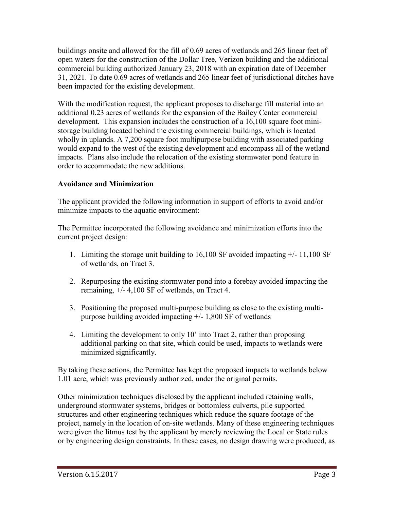buildings onsite and allowed for the fill of 0.69 acres of wetlands and 265 linear feet of open waters for the construction of the Dollar Tree, Verizon building and the additional commercial building authorized January 23, 2018 with an expiration date of December 31, 2021. To date 0.69 acres of wetlands and 265 linear feet of jurisdictional ditches have been impacted for the existing development.

With the modification request, the applicant proposes to discharge fill material into an additional 0.23 acres of wetlands for the expansion of the Bailey Center commercial development. This expansion includes the construction of a 16,100 square foot ministorage building located behind the existing commercial buildings, which is located wholly in uplands. A 7,200 square foot multipurpose building with associated parking would expand to the west of the existing development and encompass all of the wetland impacts. Plans also include the relocation of the existing stormwater pond feature in order to accommodate the new additions.

## **Avoidance and Minimization**

The applicant provided the following information in support of efforts to avoid and/or minimize impacts to the aquatic environment:

The Permittee incorporated the following avoidance and minimization efforts into the current project design:

- 1. Limiting the storage unit building to 16,100 SF avoided impacting +/- 11,100 SF of wetlands, on Tract 3.
- 2. Repurposing the existing stormwater pond into a forebay avoided impacting the remaining, +/- 4,100 SF of wetlands, on Tract 4.
- 3. Positioning the proposed multi-purpose building as close to the existing multipurpose building avoided impacting  $+/- 1,800$  SF of wetlands
- 4. Limiting the development to only 10' into Tract 2, rather than proposing additional parking on that site, which could be used, impacts to wetlands were minimized significantly.

By taking these actions, the Permittee has kept the proposed impacts to wetlands below 1.01 acre, which was previously authorized, under the original permits.

Other minimization techniques disclosed by the applicant included retaining walls, underground stormwater systems, bridges or bottomless culverts, pile supported structures and other engineering techniques which reduce the square footage of the project, namely in the location of on-site wetlands. Many of these engineering techniques were given the litmus test by the applicant by merely reviewing the Local or State rules or by engineering design constraints. In these cases, no design drawing were produced, as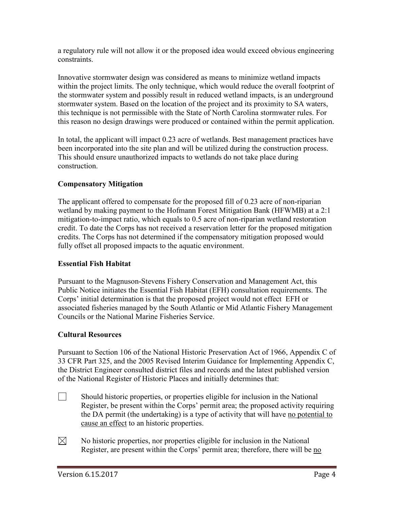a regulatory rule will not allow it or the proposed idea would exceed obvious engineering constraints.

Innovative stormwater design was considered as means to minimize wetland impacts within the project limits. The only technique, which would reduce the overall footprint of the stormwater system and possibly result in reduced wetland impacts, is an underground stormwater system. Based on the location of the project and its proximity to SA waters, this technique is not permissible with the State of North Carolina stormwater rules. For this reason no design drawings were produced or contained within the permit application.

In total, the applicant will impact 0.23 acre of wetlands. Best management practices have been incorporated into the site plan and will be utilized during the construction process. This should ensure unauthorized impacts to wetlands do not take place during construction.

## **Compensatory Mitigation**

The applicant offered to compensate for the proposed fill of 0.23 acre of non-riparian wetland by making payment to the Hofmann Forest Mitigation Bank (HFWMB) at a 2:1 mitigation-to-impact ratio, which equals to 0.5 acre of non-riparian wetland restoration credit. To date the Corps has not received a reservation letter for the proposed mitigation credits. The Corps has not determined if the compensatory mitigation proposed would fully offset all proposed impacts to the aquatic environment.

#### **Essential Fish Habitat**

Pursuant to the Magnuson-Stevens Fishery Conservation and Management Act, this Public Notice initiates the Essential Fish Habitat (EFH) consultation requirements. The Corps' initial determination is that the proposed project would not effect EFH or associated fisheries managed by the South Atlantic or Mid Atlantic Fishery Management Councils or the National Marine Fisheries Service.

#### **Cultural Resources**

Pursuant to Section 106 of the National Historic Preservation Act of 1966, Appendix C of 33 CFR Part 325, and the 2005 Revised Interim Guidance for Implementing Appendix C, the District Engineer consulted district files and records and the latest published version of the National Register of Historic Places and initially determines that:

- $\Box$  Should historic properties, or properties eligible for inclusion in the National Register, be present within the Corps' permit area; the proposed activity requiring the DA permit (the undertaking) is a type of activity that will have no potential to cause an effect to an historic properties.
- $\boxtimes$ No historic properties, nor properties eligible for inclusion in the National Register, are present within the Corps' permit area; therefore, there will be no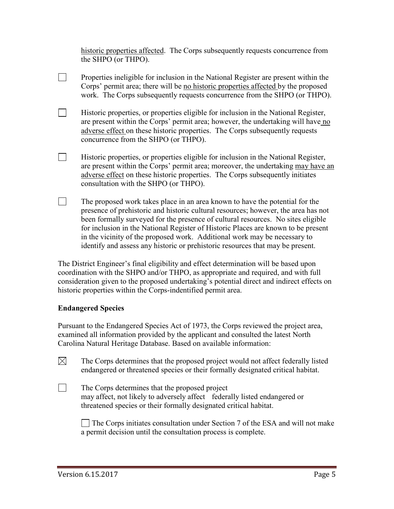historic properties affected. The Corps subsequently requests concurrence from the SHPO (or THPO).

Properties ineligible for inclusion in the National Register are present within the Corps' permit area; there will be no historic properties affected by the proposed work. The Corps subsequently requests concurrence from the SHPO (or THPO).

 $\Box$ Historic properties, or properties eligible for inclusion in the National Register, are present within the Corps' permit area; however, the undertaking will have no adverse effect on these historic properties. The Corps subsequently requests concurrence from the SHPO (or THPO).

 $\Box$ Historic properties, or properties eligible for inclusion in the National Register, are present within the Corps' permit area; moreover, the undertaking may have an adverse effect on these historic properties. The Corps subsequently initiates consultation with the SHPO (or THPO).

The proposed work takes place in an area known to have the potential for the presence of prehistoric and historic cultural resources; however, the area has not been formally surveyed for the presence of cultural resources. No sites eligible for inclusion in the National Register of Historic Places are known to be present in the vicinity of the proposed work. Additional work may be necessary to identify and assess any historic or prehistoric resources that may be present.

The District Engineer's final eligibility and effect determination will be based upon coordination with the SHPO and/or THPO, as appropriate and required, and with full consideration given to the proposed undertaking's potential direct and indirect effects on historic properties within the Corps-indentified permit area.

#### **Endangered Species**

 $\Box$ 

 $\Box$ 

 $\Box$ 

Pursuant to the Endangered Species Act of 1973, the Corps reviewed the project area, examined all information provided by the applicant and consulted the latest North Carolina Natural Heritage Database. Based on available information:

 $\boxtimes$ The Corps determines that the proposed project would not affect federally listed endangered or threatened species or their formally designated critical habitat.

The Corps determines that the proposed project may affect, not likely to adversely affect federally listed endangered or threatened species or their formally designated critical habitat.

The Corps initiates consultation under Section 7 of the ESA and will not make a permit decision until the consultation process is complete.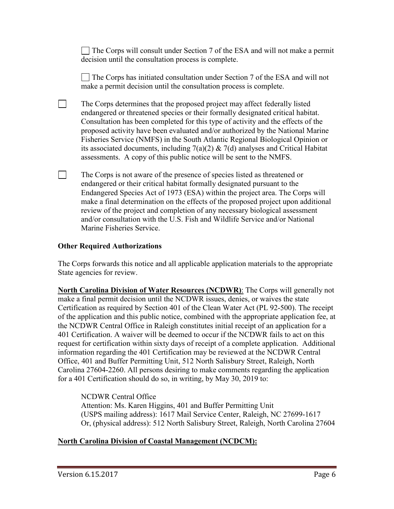The Corps will consult under Section 7 of the ESA and will not make a permit decision until the consultation process is complete.

The Corps has initiated consultation under Section 7 of the ESA and will not make a permit decision until the consultation process is complete.

- The Corps determines that the proposed project may affect federally listed endangered or threatened species or their formally designated critical habitat. Consultation has been completed for this type of activity and the effects of the proposed activity have been evaluated and/or authorized by the National Marine Fisheries Service (NMFS) in the South Atlantic Regional Biological Opinion or its associated documents, including  $7(a)(2)$  &  $7(d)$  analyses and Critical Habitat assessments. A copy of this public notice will be sent to the NMFS.
- The Corps is not aware of the presence of species listed as threatened or endangered or their critical habitat formally designated pursuant to the Endangered Species Act of 1973 (ESA) within the project area. The Corps will make a final determination on the effects of the proposed project upon additional review of the project and completion of any necessary biological assessment and/or consultation with the U.S. Fish and Wildlife Service and/or National Marine Fisheries Service.

## **Other Required Authorizations**

 $\Box$ 

 $\Box$ 

The Corps forwards this notice and all applicable application materials to the appropriate State agencies for review.

**North Carolina Division of Water Resources (NCDWR)**: The Corps will generally not make a final permit decision until the NCDWR issues, denies, or waives the state Certification as required by Section 401 of the Clean Water Act (PL 92-500). The receipt of the application and this public notice, combined with the appropriate application fee, at the NCDWR Central Office in Raleigh constitutes initial receipt of an application for a 401 Certification. A waiver will be deemed to occur if the NCDWR fails to act on this request for certification within sixty days of receipt of a complete application. Additional information regarding the 401 Certification may be reviewed at the NCDWR Central Office, 401 and Buffer Permitting Unit, 512 North Salisbury Street, Raleigh, North Carolina 27604-2260. All persons desiring to make comments regarding the application for a 401 Certification should do so, in writing, by May 30, 2019 to:

NCDWR Central Office Attention: Ms. Karen Higgins, 401 and Buffer Permitting Unit (USPS mailing address): 1617 Mail Service Center, Raleigh, NC 27699-1617 Or, (physical address): 512 North Salisbury Street, Raleigh, North Carolina 27604

## **North Carolina Division of Coastal Management (NCDCM):**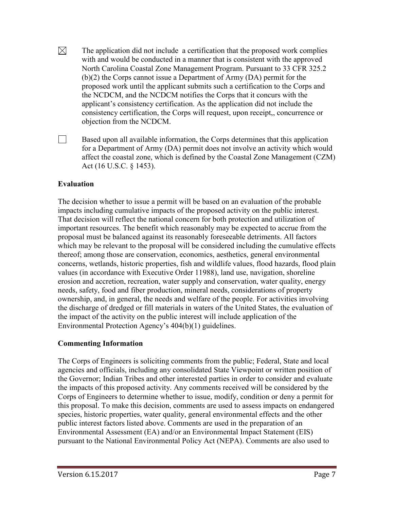- $\boxtimes$ The application did not include a certification that the proposed work complies with and would be conducted in a manner that is consistent with the approved North Carolina Coastal Zone Management Program. Pursuant to 33 CFR 325.2 (b)(2) the Corps cannot issue a Department of Army (DA) permit for the proposed work until the applicant submits such a certification to the Corps and the NCDCM, and the NCDCM notifies the Corps that it concurs with the applicant's consistency certification. As the application did not include the consistency certification, the Corps will request, upon receipt,, concurrence or objection from the NCDCM.
- $\Box$ Based upon all available information, the Corps determines that this application for a Department of Army (DA) permit does not involve an activity which would affect the coastal zone, which is defined by the Coastal Zone Management (CZM) Act (16 U.S.C. § 1453).

#### **Evaluation**

The decision whether to issue a permit will be based on an evaluation of the probable impacts including cumulative impacts of the proposed activity on the public interest. That decision will reflect the national concern for both protection and utilization of important resources. The benefit which reasonably may be expected to accrue from the proposal must be balanced against its reasonably foreseeable detriments. All factors which may be relevant to the proposal will be considered including the cumulative effects thereof; among those are conservation, economics, aesthetics, general environmental concerns, wetlands, historic properties, fish and wildlife values, flood hazards, flood plain values (in accordance with Executive Order 11988), land use, navigation, shoreline erosion and accretion, recreation, water supply and conservation, water quality, energy needs, safety, food and fiber production, mineral needs, considerations of property ownership, and, in general, the needs and welfare of the people. For activities involving the discharge of dredged or fill materials in waters of the United States, the evaluation of the impact of the activity on the public interest will include application of the Environmental Protection Agency's 404(b)(1) guidelines.

#### **Commenting Information**

The Corps of Engineers is soliciting comments from the public; Federal, State and local agencies and officials, including any consolidated State Viewpoint or written position of the Governor; Indian Tribes and other interested parties in order to consider and evaluate the impacts of this proposed activity. Any comments received will be considered by the Corps of Engineers to determine whether to issue, modify, condition or deny a permit for this proposal. To make this decision, comments are used to assess impacts on endangered species, historic properties, water quality, general environmental effects and the other public interest factors listed above. Comments are used in the preparation of an Environmental Assessment (EA) and/or an Environmental Impact Statement (EIS) pursuant to the National Environmental Policy Act (NEPA). Comments are also used to